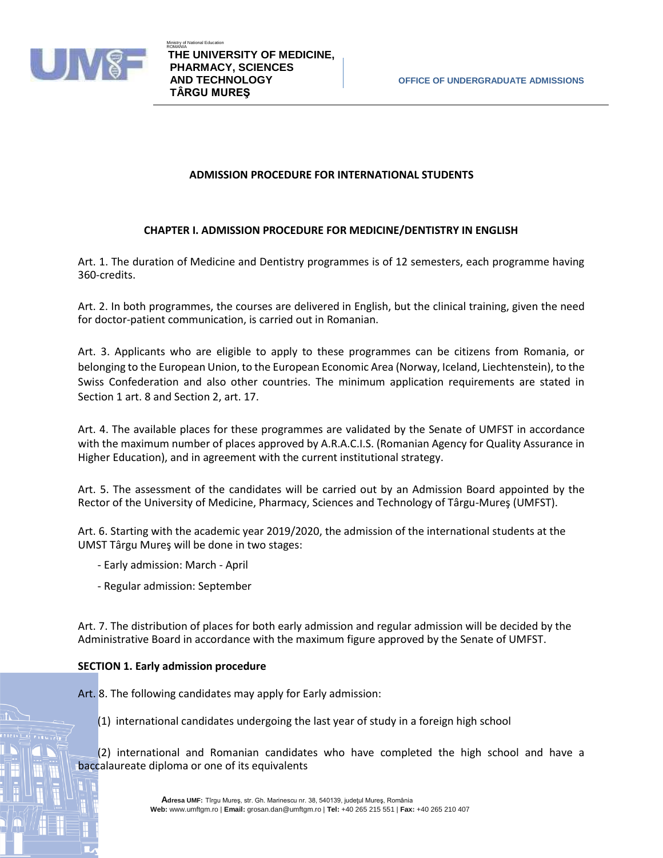

# **ADMISSION PROCEDURE FOR INTERNATIONAL STUDENTS**

# **CHAPTER I. ADMISSION PROCEDURE FOR MEDICINE/DENTISTRY IN ENGLISH**

Art. 1. The duration of Medicine and Dentistry programmes is of 12 semesters, each programme having 360-credits.

Art. 2. In both programmes, the courses are delivered in English, but the clinical training, given the need for doctor-patient communication, is carried out in Romanian.

Art. 3. Applicants who are eligible to apply to these programmes can be citizens from Romania, or belonging to the European Union, to the European Economic Area (Norway, Iceland, Liechtenstein), to the Swiss Confederation and also other countries. The minimum application requirements are stated in Section 1 art. 8 and Section 2, art. 17.

Art. 4. The available places for these programmes are validated by the Senate of UMFST in accordance with the maximum number of places approved by A.R.A.C.I.S. (Romanian Agency for Quality Assurance in Higher Education), and in agreement with the current institutional strategy.

Art. 5. The assessment of the candidates will be carried out by an Admission Board appointed by the Rector of the University of Medicine, Pharmacy, Sciences and Technology of Târgu-Mureş (UMFST).

Art. 6. Starting with the academic year 2019/2020, the admission of the international students at the UMST Târgu Mureş will be done in two stages:

- Early admission: March April
- Regular admission: September

Art. 7. The distribution of places for both early admission and regular admission will be decided by the Administrative Board in accordance with the maximum figure approved by the Senate of UMFST.

## **SECTION 1. Early admission procedure**

Art. 8. The following candidates may apply for Early admission:

(1) international candidates undergoing the last year of study in a foreign high school

(2) international and Romanian candidates who have completed the high school and have a baccalaureate diploma or one of its equivalents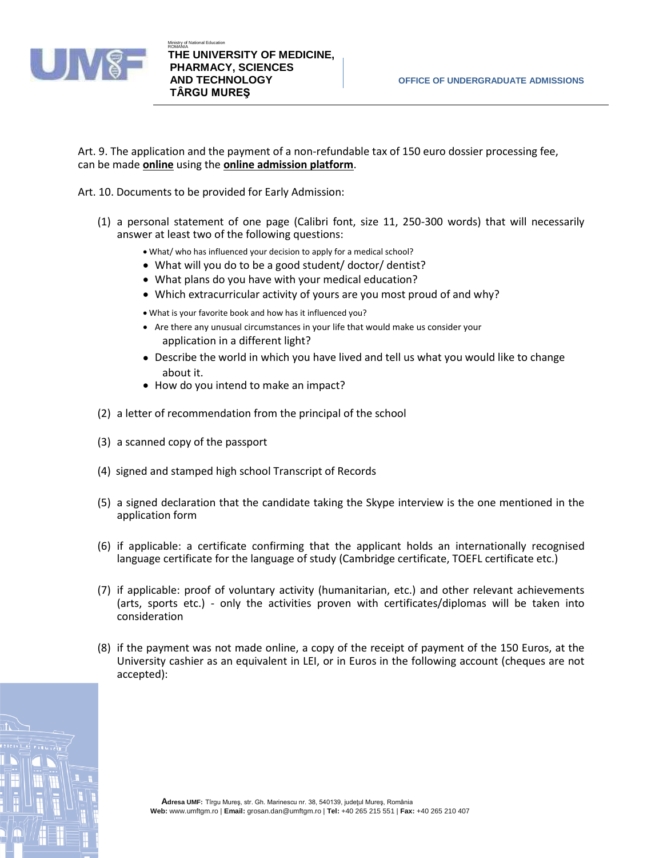

Art. 9. The application and the payment of a non-refundable tax of 150 euro dossier processing fee, can be made **online** using the **online admission platform**.

Art. 10. Documents to be provided for Early Admission:

(1) a personal statement of one page (Calibri font, size 11, 250-300 words) that will necessarily answer at least two of the following questions:

• What/ who has influenced your decision to apply for a medical school?

- What will you do to be a good student/ doctor/ dentist?
- What plans do you have with your medical education?
- Which extracurricular activity of yours are you most proud of and why?
- What is your favorite book and how has it influenced you?
- Are there any unusual circumstances in your life that would make us consider your application in a different light?
- Describe the world in which you have lived and tell us what you would like to change about it.
- How do you intend to make an impact?
- (2) a letter of recommendation from the principal of the school
- (3) a scanned copy of the passport
- (4) signed and stamped high school Transcript of Records
- (5) a signed declaration that the candidate taking the Skype interview is the one mentioned in the application form
- (6) if applicable: a certificate confirming that the applicant holds an internationally recognised language certificate for the language of study (Cambridge certificate, TOEFL certificate etc.)
- (7) if applicable: proof of voluntary activity (humanitarian, etc.) and other relevant achievements (arts, sports etc.) - only the activities proven with certificates/diplomas will be taken into consideration
- (8) if the payment was not made online, a copy of the receipt of payment of the 150 Euros, at the University cashier as an equivalent in LEI, or in Euros in the following account (cheques are not accepted):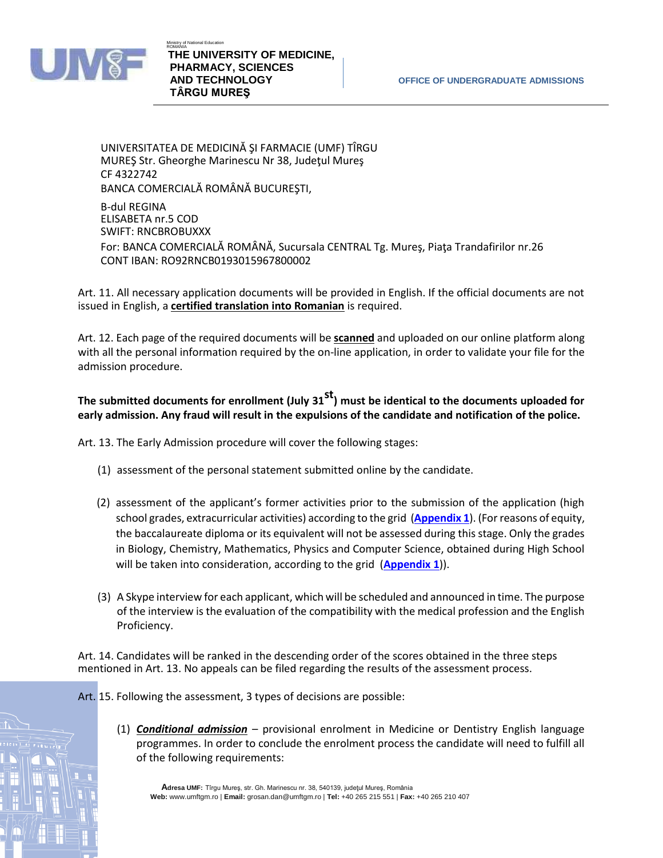

Ministry of National Education **ROWAND THE UNIVERSITY OF MEDICINE, PHARMACY, SCIENCES TÂRGU MUREŞ**

UNIVERSITATEA DE MEDICINĂ ŞI FARMACIE (UMF) TÎRGU MUREŞ Str. Gheorghe Marinescu Nr 38, Judeţul Mureş CF 4322742 BANCA COMERCIALĂ ROMÂNĂ BUCUREŞTI, B-dul REGINA ELISABETA nr.5 COD SWIFT: RNCBROBUXXX For: BANCA COMERCIALĂ ROMÂNĂ, Sucursala CENTRAL Tg. Mureş, Piaţa Trandafirilor nr.26 CONT IBAN: RO92RNCB0193015967800002

Art. 11. All necessary application documents will be provided in English. If the official documents are not issued in English, a **certified translation into Romanian** is required.

Art. 12. Each page of the required documents will be **scanned** and uploaded on our online platform along with all the personal information required by the on-line application, in order to validate your file for the admission procedure.

# **The submitted documents for enrollment (July 31st) must be identical to the documents uploaded for early admission. Any fraud will result in the expulsions of the candidate and notification of the police.**

Art. 13. The Early Admission procedure will cover the following stages:

- (1) assessment of the personal statement submitted online by the candidate.
- (2) assessment of the applicant's former activities prior to the submission of the application (high school grades, extracurricular activities) according to the grid (**[Appendix 1](http://www.umftgm.ro/fileadmin/admitere/admission2019/early_admission/Appendix_1.pdf)**). (For reasons of equity, the baccalaureate diploma or its equivalent will not be assessed during this stage. Only the grades in Biology, Chemistry, Mathematics, Physics and Computer Science, obtained during High School will be taken into consideration, according to the grid (**[Appendix 1](http://www.umftgm.ro/fileadmin/admitere/admission2019/early_admission/Appendix_1.pdf)**)).
- (3) A Skype interview for each applicant, which will be scheduled and announced in time. The purpose of the interview is the evaluation of the compatibility with the medical profession and the English Proficiency.

Art. 14. Candidates will be ranked in the descending order of the scores obtained in the three steps mentioned in Art. 13. No appeals can be filed regarding the results of the assessment process.

Art. 15. Following the assessment, 3 types of decisions are possible:

(1) *Conditional admission* – provisional enrolment in Medicine or Dentistry English language programmes. In order to conclude the enrolment process the candidate will need to fulfill all of the following requirements:

**Adresa UMF:** Tîrgu Mures, str. Gh. Marinescu nr. 38, 540139, județul Mureș, România **Web:** www.umftgm.ro | **Email:** grosan.dan@umftgm.ro | **Tel:** +40 265 215 551 | **Fax:** +40 265 210 407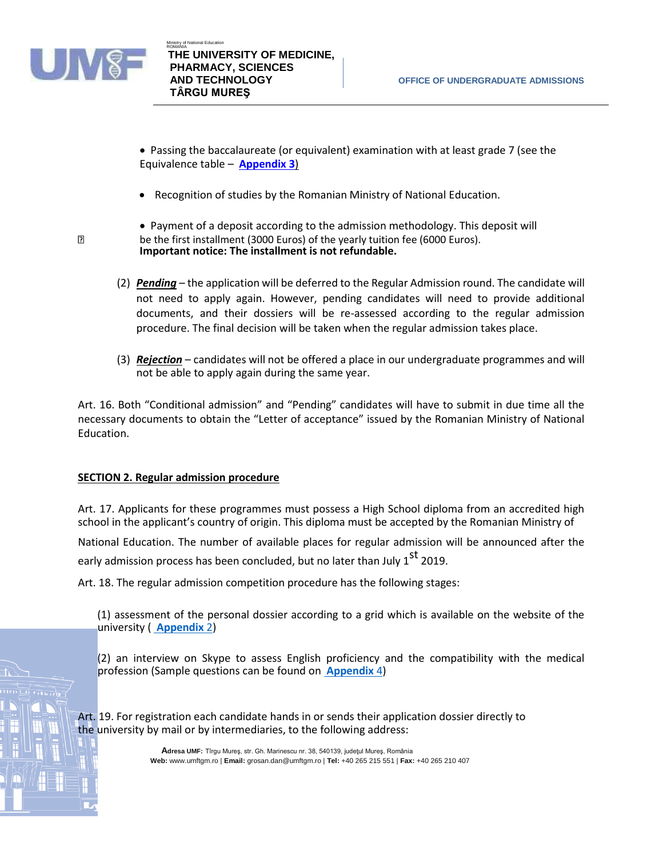

 $\overline{?}$ 

- Passing the baccalaureate (or equivalent) examination with at least grade 7 (see the Equivalence table – **[Appendix 3](http://www.umftgm.ro/fileadmin/admitere/admission2019/early_admission/Appendix_3.pdf)**)
- Recognition of studies by the Romanian Ministry of National Education.
- Payment of a deposit according to the admission methodology. This deposit will be the first installment (3000 Euros) of the yearly tuition fee (6000 Euros).

```
Important notice: The installment is not refundable.
```
- (2) *Pending* the application will be deferred to the Regular Admission round. The candidate will not need to apply again. However, pending candidates will need to provide additional documents, and their dossiers will be re-assessed according to the regular admission procedure. The final decision will be taken when the regular admission takes place.
- (3) *Rejection* candidates will not be offered a place in our undergraduate programmes and will not be able to apply again during the same year.

Art. 16. Both "Conditional admission" and "Pending" candidates will have to submit in due time all the necessary documents to obtain the "Letter of acceptance" issued by the Romanian Ministry of National Education.

# **SECTION 2. Regular admission procedure**

Art. 17. Applicants for these programmes must possess a High School diploma from an accredited high school in the applicant's country of origin. This diploma must be accepted by the Romanian Ministry of

National Education. The number of available places for regular admission will be announced after the early admission process has been concluded, but no later than July 1<sup>st</sup> 2019.

Art. 18. The regular admission competition procedure has the following stages:

(1) assessment of the personal dossier according to a grid which is available on the website of the university ( **[Appendix](http://www.umftgm.ro/fileadmin/admitere/admission2019/early_admission/Appendix_2.pdf)** 2)

(2) an interview on Skype to assess English proficiency and the compatibility with the medical profession (Sample questions can be found on **[Appendix](http://www.umftgm.ro/fileadmin/admitere/admission2019/early_admission/Appendix_4.pdf)** 4)

Art. 19. For registration each candidate hands in or sends their application dossier directly to the university by mail or by intermediaries, to the following address:

> **Adresa UMF:** Tîrgu Mureş, str. Gh. Marinescu nr. 38, 540139, judeţul Mureş, România **Web:** www.umftgm.ro | **Email:** grosan.dan@umftgm.ro | **Tel:** +40 265 215 551 | **Fax:** +40 265 210 407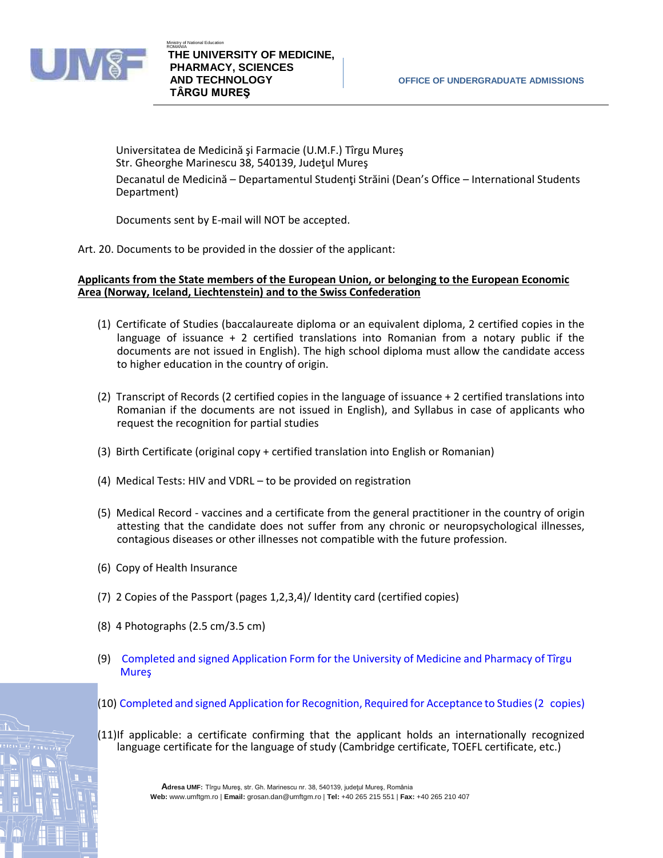

Universitatea de Medicină şi Farmacie (U.M.F.) Tîrgu Mureş Str. Gheorghe Marinescu 38, 540139, Judeţul Mureş Decanatul de Medicină – Departamentul Studenți Străini (Dean's Office – International Students Department)

Documents sent by E-mail will NOT be accepted.

Art. 20. Documents to be provided in the dossier of the applicant:

**Applicants from the State members of the European Union, or belonging to the European Economic Area (Norway, Iceland, Liechtenstein) and to the Swiss Confederation**

- (1) Certificate of Studies (baccalaureate diploma or an equivalent diploma, 2 certified copies in the language of issuance + 2 certified translations into Romanian from a notary public if the documents are not issued in English). The high school diploma must allow the candidate access to higher education in the country of origin.
- (2) Transcript of Records (2 certified copies in the language of issuance + 2 certified translations into Romanian if the documents are not issued in English), and Syllabus in case of applicants who request the recognition for partial studies
- (3) Birth Certificate (original copy + certified translation into English or Romanian)
- (4) Medical Tests: HIV and VDRL to be provided on registration
- (5) Medical Record vaccines and a certificate from the general practitioner in the country of origin attesting that the candidate does not suffer from any chronic or neuropsychological illnesses, contagious diseases or other illnesses not compatible with the future profession.
- (6) Copy of Health Insurance
- (7) 2 Copies of the Passport (pages 1,2,3,4)/ Identity card (certified copies)
- (8) 4 Photographs (2.5 cm/3.5 cm)
- (9) [Completed and signed Application Form for the University of Medicine and Pharmacy of Tîrgu](http://www.umftgm.ro/fileadmin/admitere/admission2015/application_form_admission_2015-2016.pdf)  [Mur](http://www.umftgm.ro/fileadmin/admitere/admission2015/application_form_admission_2015-2016.pdf)eş
- (10) [Completed and signed Application for Recognition, Required for Acceptance to Studies\(](http://www.umftgm.ro/fileadmin/admitere/admission2019/11a_cerere-recunoastere-studii-cetateni-europeni-admitere-licenta_2019.pdf)[2 copies\)](http://www.umftgm.ro/fileadmin/admitere/admission2015/cerere_recunoastere_studii_UE_admitere_licenta_2015.pdf)
- (11)If applicable: a certificate confirming that the applicant holds an internationally recognized language certificate for the language of study (Cambridge certificate, TOEFL certificate, etc.)

**Adresa UMF:** Tîrgu Mures, str. Gh. Marinescu nr. 38, 540139, județul Mures, România **Web:** www.umftgm.ro | **Email:** grosan.dan@umftgm.ro | **Tel:** +40 265 215 551 | **Fax:** +40 265 210 407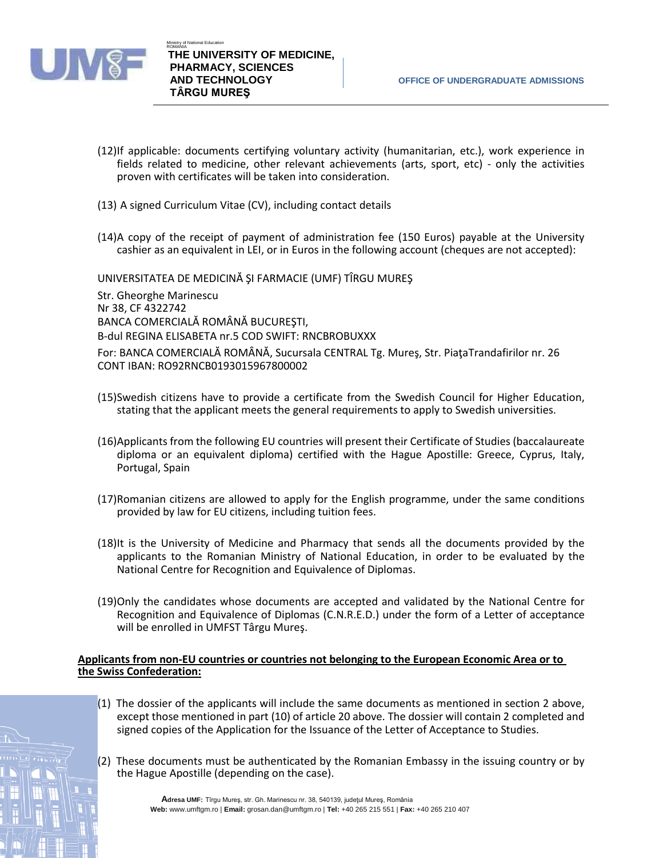

- (12)If applicable: documents certifying voluntary activity (humanitarian, etc.), work experience in fields related to medicine, other relevant achievements (arts, sport, etc) - only the activities proven with certificates will be taken into consideration.
- (13) A signed Curriculum Vitae (CV), including contact details
- (14)A copy of the receipt of payment of administration fee (150 Euros) payable at the University cashier as an equivalent in LEI, or in Euros in the following account (cheques are not accepted):

UNIVERSITATEA DE MEDICINĂ ŞI FARMACIE (UMF) TÎRGU MUREŞ

Str. Gheorghe Marinescu Nr 38, CF 4322742 BANCA COMERCIALĂ ROMÂNĂ BUCUREŞTI, B-dul REGINA ELISABETA nr.5 COD SWIFT: RNCBROBUXXX For: BANCA COMERCIALĂ ROMÂNĂ, Sucursala CENTRAL Tg. Mureş, Str. PiaţaTrandafirilor nr. 26 CONT IBAN: RO92RNCB0193015967800002

- (15)Swedish citizens have to provide a certificate from the Swedish Council for Higher Education, stating that the applicant meets the general requirements to apply to Swedish universities.
- (16)Applicants from the following EU countries will present their Certificate of Studies (baccalaureate diploma or an equivalent diploma) certified with the Hague Apostille: Greece, Cyprus, Italy, Portugal, Spain
- (17)Romanian citizens are allowed to apply for the English programme, under the same conditions provided by law for EU citizens, including tuition fees.
- (18)It is the University of Medicine and Pharmacy that sends all the documents provided by the applicants to the Romanian Ministry of National Education, in order to be evaluated by the National Centre for Recognition and Equivalence of Diplomas.
- (19)Only the candidates whose documents are accepted and validated by the National Centre for Recognition and Equivalence of Diplomas (C.N.R.E.D.) under the form of a Letter of acceptance will be enrolled in UMFST Târgu Mureş.

#### **Applicants from non-EU countries or countries not belonging to the European Economic Area or to the Swiss Confederation:**

- (1) The dossier of the applicants will include the same documents as mentioned in section 2 above, except those mentioned in part (10) of article 20 above. The dossier will contain 2 completed and signed copies of the Application for the Issuance of the Letter of Acceptance to Studies.
- (2) These documents must be authenticated by the Romanian Embassy in the issuing country or by the Hague Apostille (depending on the case).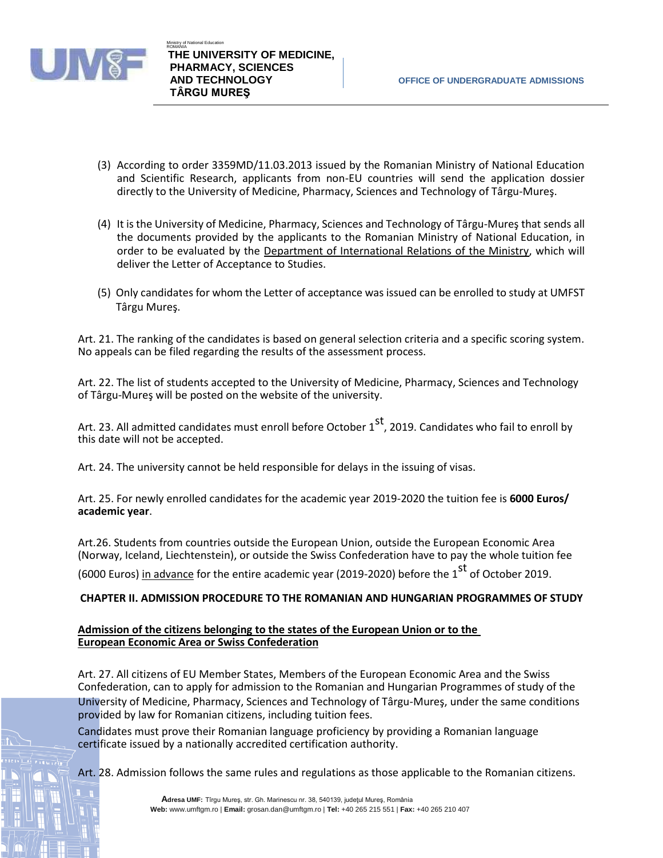

- (3) According to order 3359MD/11.03.2013 issued by the Romanian Ministry of National Education and Scientific Research, applicants from non-EU countries will send the application dossier directly to the University of Medicine, Pharmacy, Sciences and Technology of Târgu-Mureş.
- (4) It is the University of Medicine, Pharmacy, Sciences and Technology of Târgu-Mureş that sends all the documents provided by the applicants to the Romanian Ministry of National Education, in order to be evaluated by the Department of International Relations of the Ministry, which will deliver the Letter of Acceptance to Studies.
- (5) Only candidates for whom the Letter of acceptance was issued can be enrolled to study at UMFST Târgu Mureş.

Art. 21. The ranking of the candidates is based on general selection criteria and a specific scoring system. No appeals can be filed regarding the results of the assessment process.

Art. 22. The list of students accepted to the University of Medicine, Pharmacy, Sciences and Technology of Târgu-Mureş will be posted on the website of the university.

Art. 23. All admitted candidates must enroll before October  $1^{st}$ , 2019. Candidates who fail to enroll by this date will not be accepted.

Art. 24. The university cannot be held responsible for delays in the issuing of visas.

Art. 25. For newly enrolled candidates for the academic year 2019-2020 the tuition fee is **6000 Euros/ academic year**.

Art.26. Students from countries outside the European Union, outside the European Economic Area (Norway, Iceland, Liechtenstein), or outside the Swiss Confederation have to pay the whole tuition fee

(6000 Euros) in advance for the entire academic year (2019-2020) before the  $1<sup>st</sup>$  of October 2019.

## **CHAPTER II. ADMISSION PROCEDURE TO THE ROMANIAN AND HUNGARIAN PROGRAMMES OF STUDY**

#### **Admission of the citizens belonging to the states of the European Union or to the European Economic Area or Swiss Confederation**

Art. 27. All citizens of EU Member States, Members of the European Economic Area and the Swiss Confederation, can to apply for admission to the Romanian and Hungarian Programmes of study of the University of Medicine, Pharmacy, Sciences and Technology of Târgu-Mureş, under the same conditions provided by law for Romanian citizens, including tuition fees.

Candidates must prove their Romanian language proficiency by providing a Romanian language certificate issued by a nationally accredited certification authority.

Art. 28. Admission follows the same rules and regulations as those applicable to the Romanian citizens.